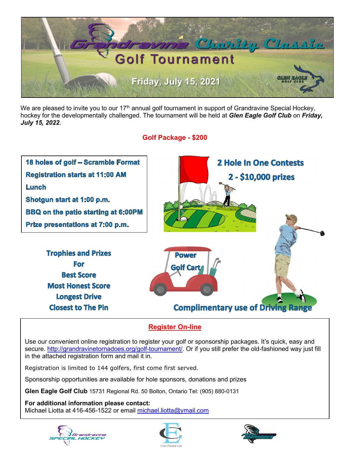

We are pleased to invite you to our 17<sup>th</sup> annual golf tournament in support of Grandravine Special Hockey, hockey for the developmentally challenged. The tournament will be held at *Glen Eagle Golf Club* on *Friday, July 15, 2022*.

## **Golf Package - \$200**



## **Register On-line**

Use our convenient online registration to register your golf or sponsorship packages. It's quick, easy and secure. http://grandravinetornadoes.org/golf-tournament/. Or if you still prefer the old-fashioned way just fill in the attached registration form and mail it in.

Registration is limited to 144 golfers, first come first served.

Sponsorship opportunities are available for hole sponsors, donations and prizes

**Glen Eagle Golf Club** 15731 Regional Rd. 50 Bolton, Ontario Tel: (905) 880-0131

**For additional information please contact:** 

Michael Liotta at 416-456-1522 or email michael.liotta@ymail.com